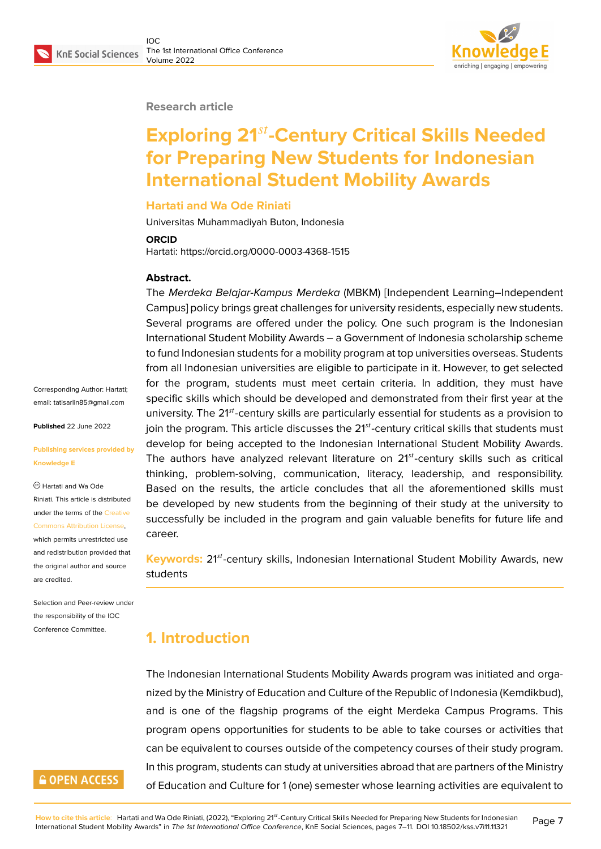#### **Research article**

# **Exploring 21-Century Critical Skills Needed for Preparing New Students for Indonesian International Student Mobility Awards**

#### **Hartati and Wa Ode Riniati**

Universitas Muhammadiyah Buton, Indonesia

#### **ORCID**

Hartati: https://orcid.org/0000-0003-4368-1515

#### **Abstract.**

The *Merdeka Belajar-Kampus Merdeka* (MBKM) [Independent Learning–Independent Campus] policy brings great challenges for university residents, especially new students. Several programs are offered under the policy. One such program is the Indonesian International Student Mobility Awards – a Government of Indonesia scholarship scheme to fund Indonesian students for a mobility program at top universities overseas. Students from all Indonesian universities are eligible to participate in it. However, to get selected for the program, students must meet certain criteria. In addition, they must have specific skills which should be developed and demonstrated from their first year at the university. The 21<sup>st</sup>-century skills are particularly essential for students as a provision to join the program. This article discusses the  $21<sup>st</sup>$ -century critical skills that students must develop for being accepted to the Indonesian International Student Mobility Awards. The authors have analyzed relevant literature on  $21<sup>st</sup>$ -century skills such as critical thinking, problem-solving, communication, literacy, leadership, and responsibility. Based on the results, the article concludes that all the aforementioned skills must be developed by new students from the beginning of their study at the university to successfully be included in the program and gain valuable benefits for future life and career.

**Keywords:** 21<sup>st</sup>-century skills, Indonesian International Student Mobility Awards, new students

# **1. Introduction**

The Indonesian International Students Mobility Awards program was initiated and organized by the Ministry of Education and Culture of the Republic of Indonesia (Kemdikbud), and is one of the flagship programs of the eight Merdeka Campus Programs. This program opens opportunities for students to be able to take courses or activities that can be equivalent to courses outside of the competency courses of their study program. In this program, students can study at universities abroad that are partners of the Ministry of Education and Culture for 1 (one) semester whose learning activities are equivalent to

Corresponding Author: Hartati; email: tatisarlin85@gmail.com

**Published** 22 June 2022

#### **Publis[hing services provided](mailto:tatisarlin85@gmail.com) by Knowledge E**

Hartati and Wa Ode Riniati. This article is distributed under the terms of the Creative Commons Attribution License, which permits unrestricted use and redistribution provided that the original author and [source](https://creativecommons.org/licenses/by/4.0/) [are credited.](https://creativecommons.org/licenses/by/4.0/)

Selection and Peer-review under the responsibility of the IOC Conference Committee.

## **GOPEN ACCESS**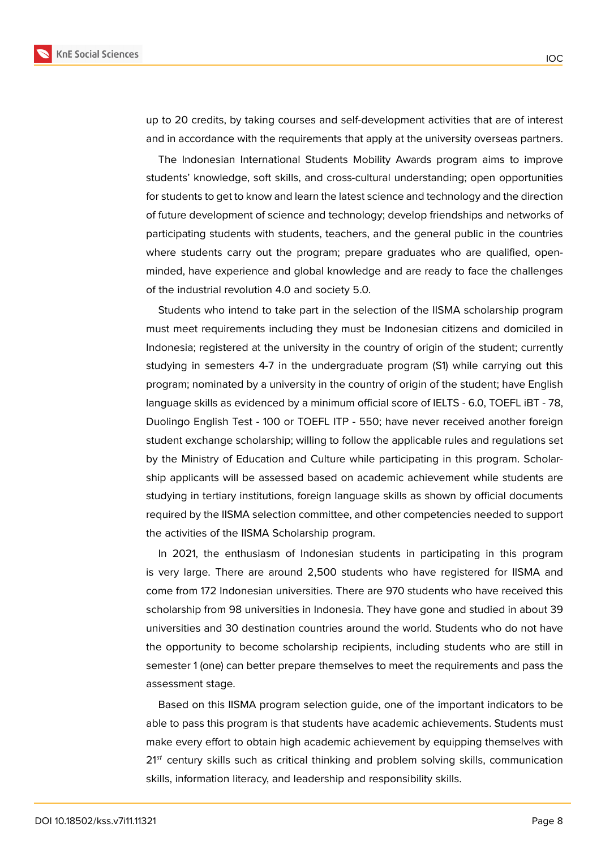

up to 20 credits, by taking courses and self-development activities that are of interest and in accordance with the requirements that apply at the university overseas partners.

The Indonesian International Students Mobility Awards program aims to improve students' knowledge, soft skills, and cross-cultural understanding; open opportunities for students to get to know and learn the latest science and technology and the direction of future development of science and technology; develop friendships and networks of participating students with students, teachers, and the general public in the countries where students carry out the program; prepare graduates who are qualified, openminded, have experience and global knowledge and are ready to face the challenges of the industrial revolution 4.0 and society 5.0.

Students who intend to take part in the selection of the IISMA scholarship program must meet requirements including they must be Indonesian citizens and domiciled in Indonesia; registered at the university in the country of origin of the student; currently studying in semesters 4-7 in the undergraduate program (S1) while carrying out this program; nominated by a university in the country of origin of the student; have English language skills as evidenced by a minimum official score of IELTS - 6.0, TOEFL iBT - 78, Duolingo English Test - 100 or TOEFL ITP - 550; have never received another foreign student exchange scholarship; willing to follow the applicable rules and regulations set by the Ministry of Education and Culture while participating in this program. Scholarship applicants will be assessed based on academic achievement while students are studying in tertiary institutions, foreign language skills as shown by official documents required by the IISMA selection committee, and other competencies needed to support the activities of the IISMA Scholarship program.

In 2021, the enthusiasm of Indonesian students in participating in this program is very large. There are around 2,500 students who have registered for IISMA and come from 172 Indonesian universities. There are 970 students who have received this scholarship from 98 universities in Indonesia. They have gone and studied in about 39 universities and 30 destination countries around the world. Students who do not have the opportunity to become scholarship recipients, including students who are still in semester 1 (one) can better prepare themselves to meet the requirements and pass the assessment stage.

Based on this IISMA program selection guide, one of the important indicators to be able to pass this program is that students have academic achievements. Students must make every effort to obtain high academic achievement by equipping themselves with  $21<sup>st</sup>$  century skills such as critical thinking and problem solving skills, communication skills, information literacy, and leadership and responsibility skills.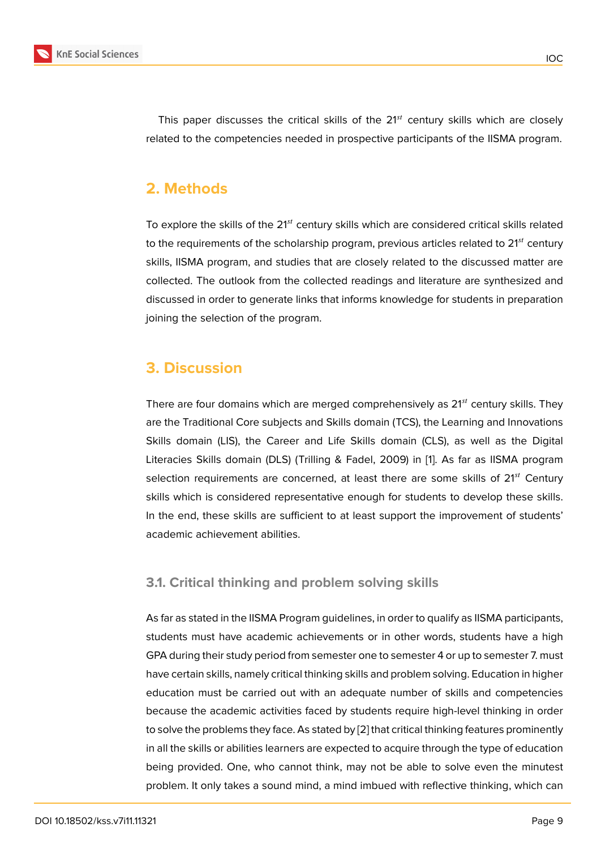This paper discusses the critical skills of the  $21<sup>st</sup>$  century skills which are closely related to the competencies needed in prospective participants of the IISMA program.

# **2. Methods**

To explore the skills of the  $21<sup>st</sup>$  century skills which are considered critical skills related to the requirements of the scholarship program, previous articles related to  $21^{st}$  century skills, IISMA program, and studies that are closely related to the discussed matter are collected. The outlook from the collected readings and literature are synthesized and discussed in order to generate links that informs knowledge for students in preparation joining the selection of the program.

# **3. Discussion**

There are four domains which are merged comprehensively as  $21<sup>st</sup>$  century skills. They are the Traditional Core subjects and Skills domain (TCS), the Learning and Innovations Skills domain (LIS), the Career and Life Skills domain (CLS), as well as the Digital Literacies Skills domain (DLS) (Trilling & Fadel, 2009) in [1]. As far as IISMA program selection requirements are concerned, at least there are some skills of  $21<sup>st</sup>$  Century skills which is considered representative enough for students to develop these skills. In the end, these skills are sufficient to at least support t[he](#page-4-0) improvement of students' academic achievement abilities.

### **3.1. Critical thinking and problem solving skills**

As far as stated in the IISMA Program guidelines, in order to qualify as IISMA participants, students must have academic achievements or in other words, students have a high GPA during their study period from semester one to semester 4 or up to semester 7. must have certain skills, namely critical thinking skills and problem solving. Education in higher education must be carried out with an adequate number of skills and competencies because the academic activities faced by students require high-level thinking in order to solve the problems they face. As stated by [2] that critical thinking features prominently in all the skills or abilities learners are expected to acquire through the type of education being provided. One, who cannot think, may not be able to solve even the minutest problem. It only takes a sound mind, a mind [im](#page-4-1)bued with reflective thinking, which can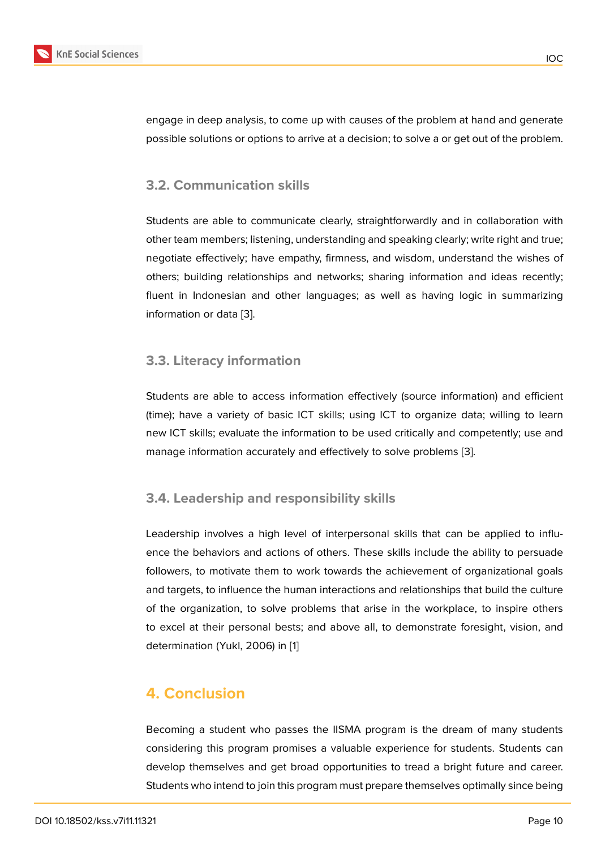### **3.2. Communication skills**

Students are able to communicate clearly, straightforwardly and in collaboration with other team members; listening, understanding and speaking clearly; write right and true; negotiate effectively; have empathy, firmness, and wisdom, understand the wishes of others; building relationships and networks; sharing information and ideas recently; fluent in Indonesian and other languages; as well as having logic in summarizing information or data [3].

### **3.3. Literacy inf[o](#page-4-2)rmation**

Students are able to access information effectively (source information) and efficient (time); have a variety of basic ICT skills; using ICT to organize data; willing to learn new ICT skills; evaluate the information to be used critically and competently; use and manage information accurately and effectively to solve problems [3].

### **3.4. Leadership and responsibility skills**

Leadership involves a high level of interpersonal skills that can be applied to influence the behaviors and actions of others. These skills include the ability to persuade followers, to motivate them to work towards the achievement of organizational goals and targets, to influence the human interactions and relationships that build the culture of the organization, to solve problems that arise in the workplace, to inspire others to excel at their personal bests; and above all, to demonstrate foresight, vision, and determination (Yukl, 2006) in [1]

# **4. Conclusion**

Becoming a student who passes the IISMA program is the dream of many students considering this program promises a valuable experience for students. Students can develop themselves and get broad opportunities to tread a bright future and career. Students who intend to join this program must prepare themselves optimally since being